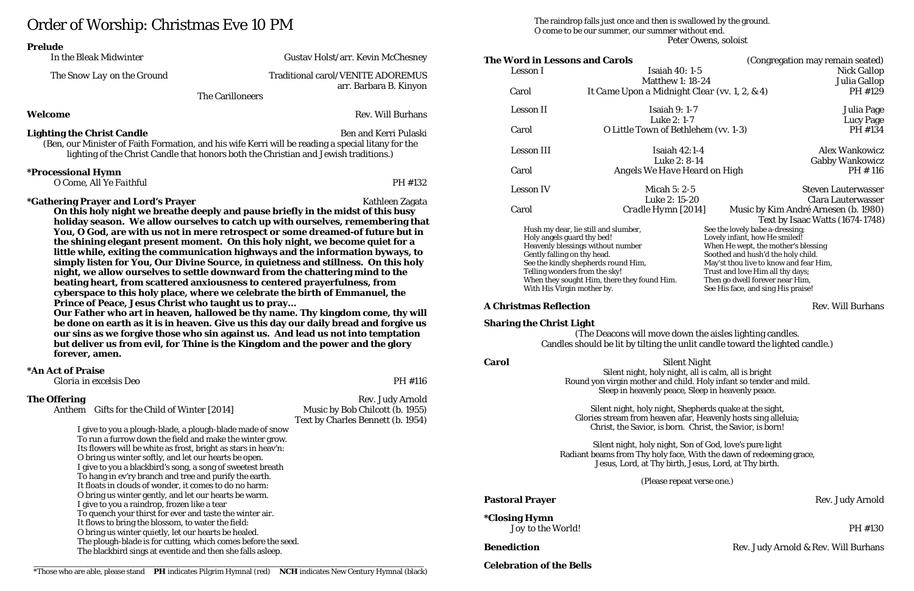# Order of Worship: Christmas Eve 10 PM

|                                   | In the Bleak Midwinter                                                                                   | Gustav Holst/arr. Kevin McChesney                                                                                                                                                                                                                                                                                                                                                                                                                                                                                                                                                                                                                                               |
|-----------------------------------|----------------------------------------------------------------------------------------------------------|---------------------------------------------------------------------------------------------------------------------------------------------------------------------------------------------------------------------------------------------------------------------------------------------------------------------------------------------------------------------------------------------------------------------------------------------------------------------------------------------------------------------------------------------------------------------------------------------------------------------------------------------------------------------------------|
|                                   | The Snow Lay on the Ground                                                                               | <b>Traditional carol/VENITE ADOREMUS</b><br>arr. Barbara B. Kinyon                                                                                                                                                                                                                                                                                                                                                                                                                                                                                                                                                                                                              |
|                                   |                                                                                                          | <b>The Carilloneers</b>                                                                                                                                                                                                                                                                                                                                                                                                                                                                                                                                                                                                                                                         |
| Welcome                           |                                                                                                          | <b>Rev. Will Burhans</b>                                                                                                                                                                                                                                                                                                                                                                                                                                                                                                                                                                                                                                                        |
| <b>Lighting the Christ Candle</b> |                                                                                                          | <b>Ben and Kerri Pulaski</b><br>(Ben, our Minister of Faith Formation, and his wife Kerri will be reading a special litany for the<br>lighting of the Christ Candle that honors both the Christian and Jewish traditions.)                                                                                                                                                                                                                                                                                                                                                                                                                                                      |
| <i><b>*Processional Hymn</b></i>  | O Come, All Ye Faithful                                                                                  | PH #132                                                                                                                                                                                                                                                                                                                                                                                                                                                                                                                                                                                                                                                                         |
|                                   |                                                                                                          | You, O God, are with us not in mere retrospect or some dreamed-of future but in<br>the shining elegant present moment. On this holy night, we become quiet for a<br>little while, exiting the communication highways and the information byways, to                                                                                                                                                                                                                                                                                                                                                                                                                             |
| forever, amen.                    | Prince of Peace, Jesus Christ who taught us to pray                                                      | simply listen for You, Our Divine Source, in quietness and stillness. On this holy<br>night, we allow ourselves to settle downward from the chattering mind to the<br>beating heart, from scattered anxiousness to centered prayerfulness, from<br>cyberspace to this holy place, where we celebrate the birth of Emmanuel, the<br>Our Father who art in heaven, hallowed be thy name. Thy kingdom come, thy will<br>be done on earth as it is in heaven. Give us this day our daily bread and forgive us<br>our sins as we forgive those who sin against us. And lead us not into temptation<br>but deliver us from evil, for Thine is the Kingdom and the power and the glory |
| *An Act of Praise                 | Gloria in excelsis Deo                                                                                   | PH #116                                                                                                                                                                                                                                                                                                                                                                                                                                                                                                                                                                                                                                                                         |
| <b>The Offering</b><br>Anthem     | <b>Gifts for the Child of Winter [2014]</b><br>I give to you a plough-blade, a plough-blade made of snow | Rev. Judy Arnold<br>Music by Bob Chilcott (b. 1955)<br>Text by Charles Bennett (b. 1954)                                                                                                                                                                                                                                                                                                                                                                                                                                                                                                                                                                                        |

# Carol *O Little Town of Bethlehem* (vv. 1-3) Hush my dear, lie still and slumber, Holy angels guard thy bed! Heavenly blessings without number Gently falling on thy head. See the kindly shepherds round Him, Telling wonders from the sky! When they sought Him, there they found Him.

### **A Christmas Reflection Rev. Will Burhans**

**The Word in Lessons and Carols** (Congregation may remain seated) Lesson I Isaiah 40: 1-5 Nick Gallop Matthew 1: 18-24 Julia Gallop Carol *It Came Upon a Midnight Clear* (vv. 1, 2, & 4) **PH #129** Lesson II Isaiah 9: 1-7 Julia Page Lucy Page<br>PH #134 Lesson III 1992 - Isaiah 42:1-4 1993 - Alex Wankowicz Luke 2: 8-14 Gabby Wankowicz Carol *Angels We Have Heard on High* PH # 116 Lesson IV Micah 5: 2-5 Steven Lauterwasser Luke 2: 15-20 Clara Lauterwasser<br>*Cradle Hymn [2014]* Music by Kim André Arnesen (b. 1980) Carol *Cradle Hymn [2014]* Music by Kim André Arnesen (b. 1980) Text by Isaac Watts (1674-1748) See the lovely babe a-dressing; Lovely infant, how He smiled! When He wept, the mother's blessing Soothed and hush'd the holy child. May'st thou live to know and fear Him, Trust and love Him all thy days; Then go dwell forever near Him, See His face, and sing His praise!

**\*Closing Hymn** *Joy to the World!* PH #130

The blackbird sings at eventide and then she falls asleep.

\*Those who are able, please stand PH indicates Pilgrim Hymnal (red) NCH indicates New Century Hymnal (black) **Celebration of the Bells** 

The raindrop falls just once and then is swallowed by the ground. O come to be our summer, our summer without end. Peter Owens, soloist

With His Virgin mother by.

#### **Sharing the Christ Light**

(The Deacons will move down the aisles lighting candles. Candles should be lit by tilting the unlit candle toward the lighted candle.)

**Carol** *Silent Night* Silent night, holy night, all is calm, all is bright Round yon virgin mother and child. Holy infant so tender and mild. Sleep in heavenly peace, Sleep in heavenly peace.

> Silent night, holy night, Shepherds quake at the sight, Glories stream from heaven afar, Heavenly hosts sing alleluia; Christ, the Savior, is born. Christ, the Savior, is born!

Silent night, holy night, Son of God, love's pure light Radiant beams from Thy holy face, With the dawn of redeeming grace, Jesus, Lord, at Thy birth, Jesus, Lord, at Thy birth.

### **Pastoral Prayer** Rev. Judy Arnold

(Please repeat verse one.)

**Benediction** Rev. Judy Arnold & Rev. Will Burhans